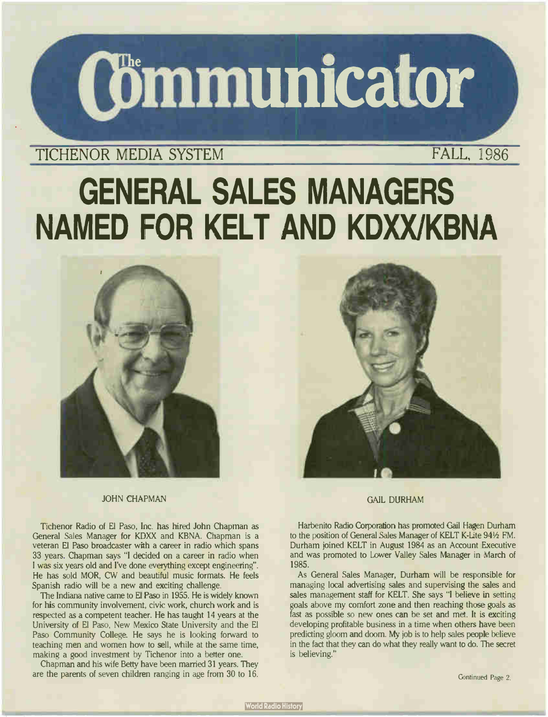

# TICHENOR MEDIA SYSTEM FALL, 1986

# GENERAL SALES MANAGERS NAMED FOR KELT AND KDXX/KBNA





JOHN CHAPMAN

Tichenor Radio of El Paso, Inc. has hired John Chapman as General Sales Manager for KDXX and KBNA. Chapman is a veteran El Paso broadcaster with a career in radio which spans 33 years. Chapman says "I decided on a career in radio when I was six years old and I've done everything except engineering". He has sold MOR, CW and beautiful music formats. He feels Spanish radio will be a new and exciting challenge.

The Indiana native came to El Paso in 1955. He is widely known for his community involvement, civic work, church work and is respected as a competent teacher. He has taught 14 years at the University of El Paso, New Mexico State University and the El Paso Community College. He says he is looking forward to teaching men and women how to sell, while at the same time, making a good investment by Tichenor into a better one.

Chapman and his wife Betty have been married 31 years. They are the parents of seven children ranging in age from 30 to 16.

### GAIL DURHAM

Harbenito Radio Corporation has promoted Gail Hagen Durham to the position of General Sales Manager of KELT K-Lite 941/2 FM. Durham joined KELT in August 1984 as an Account Executive and was promoted to Lower Valley Sales Manager in March of 1985.

As General Sales Manager, Durham will be responsible for managing local advertising sales and supervising the sales and sales management staff for KELT. She says "I believe in setting goals above my comfort zone and then reaching those goals as fast as possible so new ones can be set and met. It is exciting developing profitable business in a time when others have been predicting gloom and doom. My job is to help sales people believe in the fact that they can do what they really want to do. The secret is believing."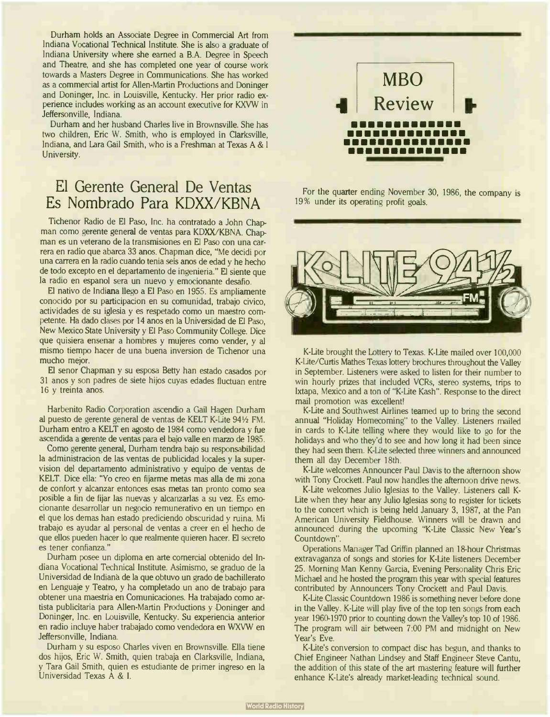Durham holds an Associate Degree in Commercial Art from Indiana Vocational Technical Institute. She is also a graduate of Indiana University where she earned a B.A. Degree in Speech and Theatre, and she has completed one year of course work towards a Masters Degree in Communications. She has worked as a commercial artist for Allen-Martin Productions and Doninger and Doninger, Inc. in Louisville, Kentucky. Her prior radio experience includes working as an account executive for KXVW in Jeffersonville, Indiana.

Durham and her husband Charles live in Brownsville. She has two children, Eric W. Smith, who is employed in Clarksville, Indiana, and Lara Gail Smith, who is a Freshman at Texas A & I University.

# El Gerente General De Ventas Es Nombrado Para KDXX/KBNA

Tichenor Radio de El Paso, Inc. ha contratado a John Chapman como gerente general de yentas para KDXX/KBNA. Chapman es un veterano de la transmisiones en El Paso con una carrera en radio que abarca 33 anos. Chapman dice, " Me decidi por una carrera en la radio cuando tenia seis anos de edad y he hecho de todo excepto en el departamento de ingenieria." El siente que la radio en espanol sera un nuevo y emocionante desafio.

El nativo de Indiana llego a El Paso en 1955. Es ampliamente conocido por su participacion en su comunidad, trabajo civico, actividades de su iglesia y es respetado como un maestro competente. Ha dado clases por 14 anos en la Universidad de El Paso, New Mexico State University y El Paso Community College. Dice que quisiera ensenar a hombres y mujeres como vender, y al mismo tiempo hacer de una buena inversion de Tichenor una mucho mejor.

El senor Chapman y su esposa Betty han estado casados por <sup>31</sup> anos y son padres de siete hijos cuyas edades fluctuan entre <sup>16</sup> y treinta anos.

Harbenito Radio Corporation ascendio a Gail Hagen Durham al puesto de gerente general de ventas de KELT K-Lite 941/2 FM. Durham entro a KELT en agosto de 1984 como vendedora y fue ascendida a gerente de yentas para el bajo valle en marzo de 1985.

Como gerente general, Durham tendra bajo su responsabilidad la administracion de las yentas de publicidad locales y la supervision del departamento administrativo y equipo de yentas de KELT. Dice ella: "Yo creo en fijarme metas mas alla de mi zona de confort y alcanzar entonces esas metas tan pronto como sea posible a fin de fijar las nuevas y alcanzarlas a su vez. Es emocionante desarrollar un negocio remunerativo en un tiempo en el que los demas han estado prediciendo obscuridad y ruina. Mi trabajo es ayudar al personal de yentas a creer en el hecho de que ellos pueden hacer lo que realmente quieren hacer. El secreto es tener confianza."

Durham posee un diploma en arte comercial obtenido del Indiana Vocational Technical Institute. Asimismo, se graduo de la Universidad de Indiana de la que obtuvo un grado de bachillerato en Lenguaje y Teatro, y ha completado un ano de trabajo para obtener una maestria en Comunicaciones. Ha trabajado como artista publicitaria para Allen- Martin Productions y Doninger and Doninger, Inc. en Louisville, Kentucky. Su experiencia anterior en radio incluye haber trabajado como vendedora en WXVW en Jeffersonville, Indiana.

Durham y su esposo Charles viven en Brownsville. Ella tiene dos hijos, Eric W. Smith, quien trabaja en Clarksville, Indiana, y Tara Gail Smith, quien es estudiante de primer ingreso en la Universidad Texas A & I.



For the quarter ending November 30, 1986, the company is 19% under its operating profit goals.



K-Lite brought the Lottery to Texas. K-Lite mailed over 100,000 K-Lite/Curtis Mathes Texas lottery brochures throughout the Valley in September. Listeners were asked to listen for their number to win hourly prizes that included VCRs, stereo systems, trips to Ixtapa, Mexico and a ton of "K-Lite Kash". Response to the direct mail promotion was excellent!

K-Lite and Southwest Airlines teamed up to bring the second annual "Holiday Homecoming" to the Valley. Listeners mailed in cards to K-Lite telling where they would like to go for the holidays and who they'd to see and how long it had been since they had seen them. K-Lite selected three winners and announced them all day December 18th.

K-Lite welcomes Announcer Paul Davis to the afternoon show with Tony Crockett. Paul now handles the afternoon drive news.

K-Lite welcomes Julio Iglesias to the Valley. Listeners call K-Lite when they hear any Julio Iglesias song to register for tickets to the concert which is being held January 3, 1987, at the Pan American University Fieldhouse. Winners will be drawn and announced during the upcoming "K-Lite Classic New Year's Countdown".

Operations Manager Tad Griffin planned an 18-hour Christmas extravaganza of songs and stories for K-Lite listeners December 25. Morning Man Kenny Garcia, Evening Personality Chris Eric Michael and he hosted the program this year with special features contributed by Announcers Tony Crockett and Paul Davis.

K-Lite Classic Countdown 1986 is something never before done in the Valley. K-Lite will play five of the top ten songs from each year 1960-1970 prior to counting down the Valley's top 10 of 1986. The program will air between 7:00 PM and midnight on New Year's Eve.

K-Lite's conversion to compact disc has begun, and thanks to Chief Engineer Nathan Lindsey and Staff Engineer Steve Cantu, the addition of this state of the art mastering feature will further enhance K-Lite's already market-leading technical sound.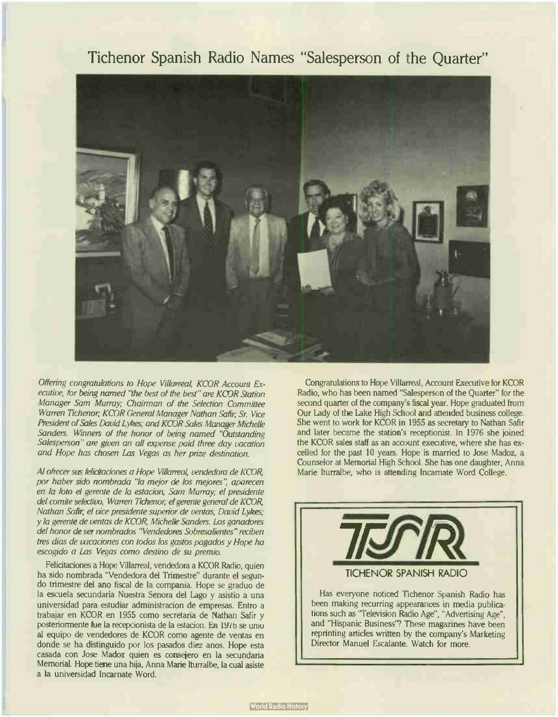### Tichenor Spanish Radio Names "Salesperson of the Quarter"



Offering congratulations to Hope Villarreal, KCOR Account Executive, for being named "the best of the best" are KCOR Station Manager Sam Murray; Chairman of the Selection Committee Warren Tichenor; KCOR General Manager Nathan Safir; Sr. Vice President of Sales David Lykes; and KCOR Sales Manager Michelle Sanders. Winners of the honor of being named "Outstanding Salesperson" are given an all expense paid three day vacation and Hope has chosen Las Vegas as her prize destination.

Al ofrecer sus felicitaciones a Hope Villarreal, vendedora de KCOR, por haber sido nombrada "la mejor de los mejores", aparecen en la foto el gerente de la estacion, Sam Murray; el presidente del comite selectivo, Warren Tichenor; el gerente general de KCOR, Nathan Safir; el vice presidente superior de yentas, David Lykes; y la gerente de yentas de KCOR, Michelle Sanders. Los ganadores del honor de ser nombrados "Vendedores Sobresalientes" reciben tres dias de vacaciones con todos los gastos pagados y Hope ha escogido a Las Vegas como destino de su premio.

Felicitaciones a Hope Villarreal, vendedora a KCOR Radio, quien ha sido nombrada "Vendedora del Trimestre" durante el segundo trimestre del ano fiscal de la compania. Hope se graduo de la escuela secundaria Nuestra Senora del Lago y asistio a una universidad para estudiar administracion de empresas. Entro a trabajar en KCOR en 1955 como secretaria de Nathan Safir y posteriormente fue la recepcionista de la estacion. En 1976 se unio al equipo de vendedores de KCOR como agente de yentas en donde se ha distinguido por los pasados diez anos. Hope esta casada con Jose Madoz quien es consejero en la secundaria Memorial. Hope tiene una hija, Anna Marie lturralbe, la cual asiste a la universidad Incarnate Word.

Congratulations to Hope Villarreal, Account Executive for KCOR Radio, who has been named "Salesperson of the Quarter" for the second quarter of the company's fiscal year. Hope graduated from Our Lady of the Lake High School and attended business college. She went to work for KCOR in 1955 as secretary to Nathan Safir and later became the station's receptionist. In 1976 she joined the KCOR sales staff as an account executive, where she has excelled for the past 10 years. Hope is married to Jose Madoz, a Counselor at Memorial High School. She has one daughter, Anna Marie Iturralbe, who is attending Incarnate Word College.



and " Hispanic Business'? These magazines have been reprinting articles written by the company's Marketing Director Manuel Escalante. Watch for more.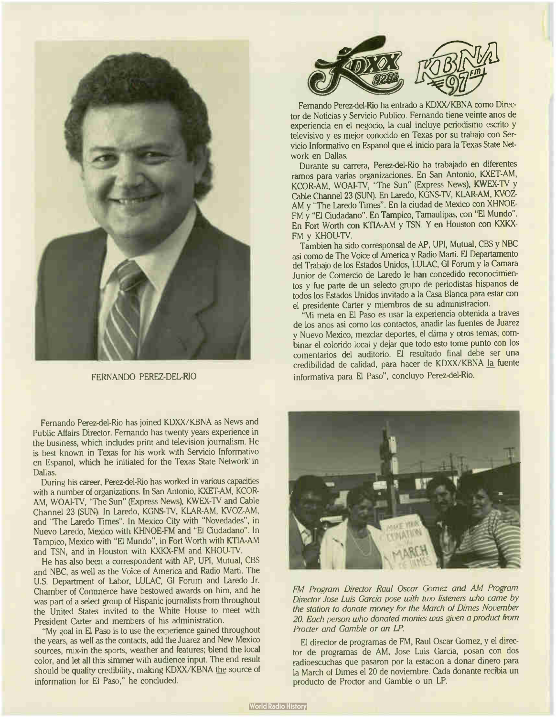

FERNANDO PEREZ-DEL-RIO

Fernando Perez-del-Rio has joined KDXX/KBNA as News and Public Affairs Director. Fernando has twenty years experience in the business, which includes print and television journalism. He is best known in Texas for his work with Servicio Informativo en Espanol, which he initiated for the Texas State Network in Dallas.

During his career, Perez-del-Rio has worked in various capacities with a number of organizations. In San Antonio, KXET-AM, KCOR-AM, WOAI-TV, "The Sun" (Express News), KWEX-TV and Cable Channel 23 (SUN). In Laredo, KGNS4V, KLAR-AM, KVOZ-AM, and "The Laredo Times". In Mexico City with " Novedades", in Nuevo Laredo, Mexico with KHNOE-FM and "El Ciudadano". In Tampico, Mexico with "El Mundo", in Fort Worth with KTIA-AM and TSN, and in Houston with KXKX-FM and KHOU-TV.

He has also been a correspondent with AP, UPI, Mutual, CBS and NBC, as well as the Voice of America and Radio Marti. The U.S. Department of Labor, LULAC, GI Forum and Laredo Jr. Chamber of Commerce have bestowed awards on him, and he was part of a select group of Hispanic journalists from throughout the United States invited to the White House to meet with President Carter and members of his administration.

"My goal in El Paso is to use the experience gained throughout the years, as well as the contacts, add the Juarez and New Mexico sources, mix-in the sports, weather and features; blend the local color, and let all this simmer with audience input. The end result should be quality credibility, making KDXX/KBNA the source of information for El Paso," he concluded.



Fernando Perez-del-Rio ha entrado a KDXX/KBNA como Director de Noticias y Servicio Publico. Fernando tiene veinte anos de experiencia en el negocio, la cual incluye periodismo escrito y televisivo y es mejor conocido en Texas por su trabajo con Servicio Informativo en Espanol que el inicio para la Texas State Network en Dallas.

Durante su carrera, Perez-del-Rio ha trabajado en diferentes ramos para varias organizaciones. En San Antonio, KXET-AM, KCOR-AM, WOAI-TV, "The Sun" (Express News), KWEX-TV y Cable Channel 23 (SUN). En Laredo, KGNS-TV, KLAR-AM, KVOZ-AM y "The Laredo Times". En la ciudad de Mexico con XHNOE-FM y "El Ciudadano". En Tampico, Tamaulipas, con "El Mundo". En Fort Worth con KTIA-AM y TSN. Y en Houston con KXKX-FM y KHOU-TV.

Tambien ha sido corresponsal de AP, UPI, Mutual, CBS y NBC asi como de The Voice of America y Radio Marti. El Departamento del Trabajo de los Estados Unidos, LULAC, GI Forum y la Camara Junior de Comercio de Laredo le han concedido reconocimientos y fue parte de un selecto grupo de periodistas hispanos de todos los Estados Unidos invitado a la Casa Blanca para estar con el presidente Carter y miembros de su administracion.

"Mi meta en El Paso es usar la experiencia obtenida a traves de los anos asi como los contactos, anadir las fuentes de Juarez y Nuevo Mexico, mezclar deportes, el clima y otros temas; combinar el colorido local y dejar que todo esto tome punto con los comentarios del auditorio. El resultado final debe ser una credibilidad de calidad, para hacer de KDXX/KBNA la fuente informativa para El Paso", concluyo Perez-del-Rio.



FM Program Director Raul Oscar Gomez and AM Program Director Jose Luis Garcia pose with two listeners who came by the station to donate money for the March of Dimes November 20. Each person who donated monies was given a product from Procter and Gamble or an LP.

El director de programas de FM, Raul Oscar Gomez, y el director de programas de AM, Jose Luis Garcia, posan con dos radioescuchas que pasaron por la estacion a donar dinero para la March of Dimes el 20 de noviembre. Cada donante recibia un producto de Proctor and Gamble o un LP.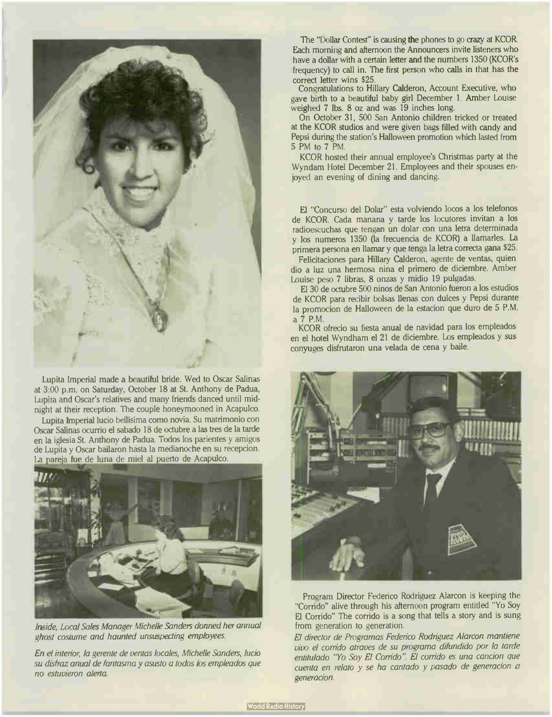

Lupita Imperial made a beautiful bride. Wed to Oscar Salinas at 3:00 p.m. on Saturday, October 18 at St. Anthony de Padua, Lupita and Oscar's relatives and many friends danced until midnight at their reception. The couple honeymooned in Acapulco.

Lupita Imperial lucio bellisima como novia. Su matrimonio con Oscar Salinas ocurrio el sabado 18 de octubre a las tres de la tarde en la iglesia St. Anthony de Padua. Todos los parientes y amigos de Lupita y Oscar bailaron hasta la medianoche en su recepcion. La pareja fue de luna de miel al puerto de Acapulco.



Inside, Local Sales Manager Michelle Sanders donned her annual ghost costume and haunted unsuspecting employees.

En el interior, la gerente de yentas locales, Michelle Sanders, lucio su disfraz anual de fantasma y asusto a todos los empleados que no estuvieron alerta.

The "Dollar Contest" is causing the phones to go crazy at KCOR. Each morning and afternoon the Announcers invite listeners who have a dollar with a certain letter and the numbers 1350 (KCOR's frequency) to call in. The first person who calls in that has the correct letter wins \$25.

Congratulations to Hillary Calderon, Account Executive, who gave birth to a beautiful baby girl December I. Amber Louise weighed 7 lbs. 8 oz and was 19 inches long.

On October 31, 500 San Antonio children tricked or treated at the KCOR studios and were given bags filled with candy and Pepsi during the station's Halloween promotion which lasted from 5 PM to 7 PM.

KCOR hosted their annual employee's Christmas party at the Wyndam Hotel December 21. Employees and their spouses enjoyed an evening of dining and dancing.

El "Concurso del Dolar" esta volviendo locos a los telefonos de KCOR. Cada manana y tarde los locutores invitan a los radioescuchas que tengan un dolar con una letra determinada y los nu meros 1350 (la frecuencia de KCOR) a llamarles. La primera persona en llamar y que tenga la letra correcta gana \$25.

Felicitaciones para Hillary Calderon, agente de yentas, quien dio a luz una hermosa nina el primero de diciembre. Amber Louise peso 7 libras, 8 onzas y midio <sup>19</sup> pulgadas.

El 30 de octubre <sup>500</sup> ninos de San Antonio fueron a los estudios de KCOR para recibir bolsas llenas con dulces y Pepsi durante la promocion de Halloween de la estacion que duro de 5 P.M. a 7 P.M.

KCOR ofrecio su fiesta anual de navidad para los empleados en el hotel Wyndham el 21 de diciembre. Los empleados y sus conyuges disfrutaron una velada de cena y baile.



Program Director Federico Rodriguez Alarcon is keeping the "Corrido" alive through his afternoon program entitled "Yo Soy El Corrido" The corrido is a song that tells a story and is sung from generation to generation.

El director de Programas Federico Rodriguez Alarcon mantiene vivo el corrido atraves de su programa difundido por la tarde entitulado "Yo Soy El Corrido". El corrido es una cancion que cuenta en relato y se ha cantado y pasado de generacion a generacion.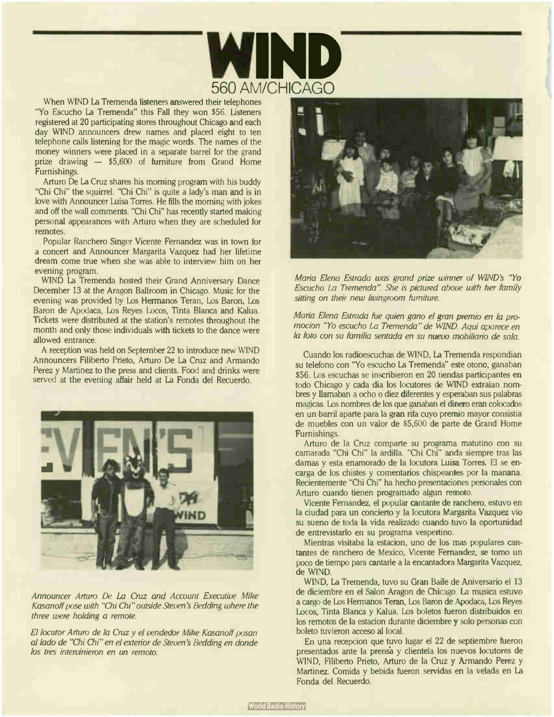

When WIND La Tremenda listeners answered their telephones "Yo Escucho La Tremenda" this Fall they won \$56. Listeners registered at 20 participating stores throughout Chicago and each day WIND announcers drew names and placed eight to ten telephone calls listening for the magic words. The names of the money winners were placed in a separate barrel for the grand prize drawing — \$5,600 of furniture from Grand Home Furnishings.

Arturo De la Cruz shares his morning program with his buddy "Chi Chi" the squirrel. "Chi Chi" is quite a lady's man and is in love with Announcer Luisa Torres. He fills the morning with jokes and off the wall comments. "Chi Chi" has recently started making personal appearances with Arturo when they are scheduled for remotes.

Popular Ranchero Singer Vicente Fernandez was in town for a concert and Announcer Margarita Vazquez had her lifetime dream come true when she was able to interview him on her evening program.

WIND La Tremenda hosted their Grand Anniversary Dance December 13 at the Aragon Ballroom in Chicago. Music for the evening was provided by Los Hermanos Teran, Los Baron, Los Baron de Apodaca, Los Reyes Locos, Tinta Blanca and Kalua. Tickets were distributed at the station's remotes throughout the month and only those individuals with tickets to the dance were allowed entrance.

A reception was held on September 22 to introduce new WIND Announcers Filiberto Prieto, Arturo De La Cruz and Armando Perez y Martinez to the press and clients. Food and drinks were served at the evening affair held at La Fonda del Recuerdo.



Announcer Arturo De La Cruz and Account Executive Mike Kasanoff pose with "Chi Chi" outside Steven's Bedding where the three were holding a remote.

El locutor Arturo de la Cruz y el vendedor Mike Kasanoff posan al lado de "Chi Chi" en el exterior de Steven's Bedding en donde los tres intervinieron en un remoto.



Maria Elena Estrada was grand prize winner of WIND's "Yo Escucho La Tremenda". She is pictured above with her family sitting on their new livingroom furniture.

Maria Elena Estrada fue quien gano el gran premio en la promocion "Yo escucho La Tremenda" de WIND Aqui aparece en la foto con su familia sentada en su nuevo mobiliario de sala.

Cuando los radioescuchas de WIND, La Tremenda respondian su telefono con "Yo escucho La Tremenda" este otono, ganaban \$56. Los escuchas se inscribieron en 20 tiendas participantes en todo Chicago y cada dia los locutores de WIND extraian nombres y llamaban a ocho o diez diferentes y esperaban sus palabras magicas. Los nombres de los que ganaban el dinero eran colocados en un barril aparte para la gran rifa cuyo premio mayor consistia de muebles con un valor de \$5,600 de parte de Grand Home Furnishings.

Arturo de la Cruz comparte su programa matutino con su camarada "Chi Chi" la ardilla. "Chi Chi" anda siempre tras las damas y esta enamorado de la locutora Luisa Torres. El se encarga de los chistes y comentarios chispeantes por la manana. Recientemente "Chi Chi" ha hecho presentaciones personales con Arturo cuando tienen programado algun remoto.

Vicente Fernandez, el popular cantante de ranchero, estuvo en la ciudad para un concierto y la locutora Margarita Vazquez vio su sueno de toda la vida realizado cuando tuvo la oportunidad de entrevistarlo en su programa vespertino.

Mientras visitaba la estacion, uno de los mas populares cantantes de ranchero de Mexico, Vicente Fernandez, se tomo un poco de tiempo para cantarle a la encantadora Margarita Vazquez, de WIND.

WIND, La Tremenda, tuvo su Gran Baile de Aniversario el 13 de diciembre en el Salon Aragon de Chicago. La musica estuvo a cargo de Los Hermanos Teran, Los Baron de Apodaca, Los Reyes Locos, Tinta Blanca y Kalua. Los boletos fueron distribuidos en los remotos de la estacion durante diciembre y solo personas con boleto tuvieron acceso al local.

En una recepcion que tuvo lugar el 22 de septiembre fueron presentados ante la prensa y clientela los nuevos locutores de WIND, Filiberto Prieto, Arturo de la Cruz y Armando Perez y Martinez. Comida y bebida fueron servidas en la velada en La Fonda del Recuerdo.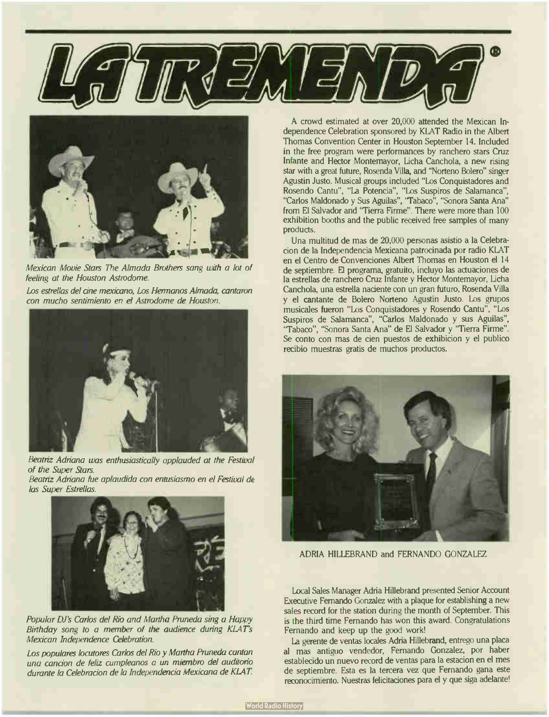



Mexican Movie Stars The Almada Brothers sang with a lot of feeling at the Houston Astrodome.

Los estrellas del cine mexicano, Los Hermanos Almada, cantaron con mucho sentimiento en el Astrodome de Houston.



Beatriz Adriana was enthusiastically applauded at the Festival of the Super Stars.

Beatriz Adriana fue aplaudida con entusiasmo en el Festival de las Super Estrellas.



Popular DJ's Carlos del Rio and Martha Pruneda sing a Happy Birthday song to a member of the audience during KLAT's Mexican Independence Celebration.

Los populares locutores Carlos del Rio y Martha Pruneda cantan una cancion de feliz cumpleanos a un miembro del auditorio durante la Celebracion de la Independencia Mexicana de KIAT

A crowd estimated at over 20,000 attended the Mexican Independence Celebration sponsored by KLAT Radio in the Albert Thomas Convention Center in Houston September 14. Included in the free program were performances by ranchero stars Cruz Infante and Hector Montemayor, Licha Canchola, a new rising star with a great future, Rosenda Villa, and " Norteno Bolero" singer Agustin Justo. Musical groups included " Los Conquistadores and Rosendo Cantu", " La Potencia", " Los Suspiros de Salamanca", "Carlos Maldonado y Sus Aguilas", "Tabaco", "Sonora Santa Ana" from El Salvador and "Tierra Firme". There were more than 100 exhibition booths and the public received free samples of many products.

Una multitud de mas de 20,000 personas asistio a la Celebracion de la Independencia Mexicana patrocinada por radio KLAT en el Centro de Convenciones Albert Thomas en Houston el 14 de septiembre. El programa, gratuito, incluyo las actuaciones de la estrellas de ranchero Cruz Infante y Hector Montemayor, Licha Canchola, una estrella naciente con un gran futuro, Rosenda Villa y el cantante de Bolero Norteno Agustin Justo. Los grupos musicales fueron "Los Conquistadores y Rosendo Cantu", "Los Suspiros de Salamanca", "Carlos Maldonado y sus Aguilas", "Tabaco", "Sonora Santa Ana" de El Salvador y "Tierra Firme". Se conto con mas de cien puestos de exhibicion y el publico recibio muestras gratis de muchos productos.



ADRIA HILLEBRAND and FERNANDO GONZALEZ

Local Sales Manager Adria Hillebrand presented Senior Account Executive Fernando Gonzalez with a plaque for establishing a new sales record for the station during the month of September. This is the third time Fernando has won this award. Congratulations Fernando and keep up the good work!

La gerente de yentas locales Adria Hillebrand, entrego una placa al mas antiguo vendedor, Fernando Gonzalez, por haber establecido un nuevo record de yentas para la estacion en el mes de septiembre. Esta es la tercera vez que Fernando gana este reconocimiento. Nuestras felicitaciones para el y que siga adelante!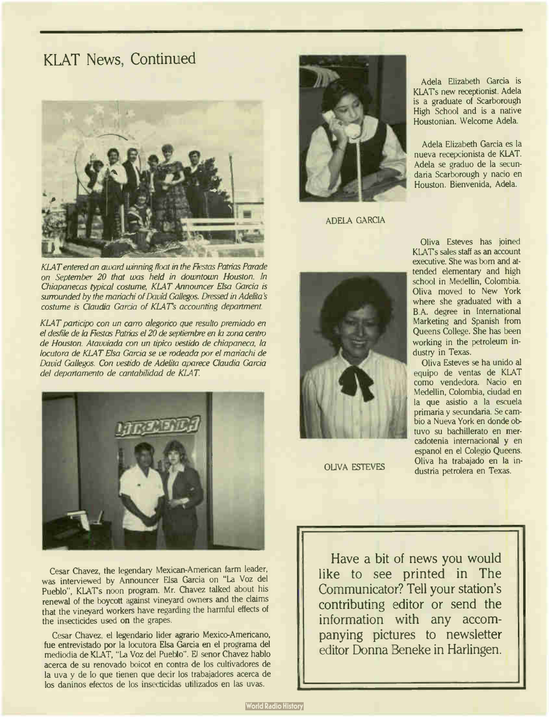### KLAT News, Continued



KLAT entered an award winning float in the Fiestas Patrias Parade on September 20 that was held in downtown Houston. In Chiapanecas typical costume, KLAT Announcer Elsa Garcia is surrounded by the mariachi of David Gallegos. Dressed in Adelita's costume is Claudia Garcia of KLAT's accounting department.

KLAT participo con un carro alegorico que resulto premiado en el desfile de la Fiestas Patrias el 20 de septiembre en la zona centro de Houston. Atavviada con un tipico vestido de chiapaneca, la locutora de KLAT Elsa Garcia se ve rodeada por el manachi de David Gallegos. Con vestido de Adelita aparece Claudia Garcia del departamento de cantabilidad de KLAT.



Cesar Chavez, the legendary Mexican-American farm leader, was interviewed by Announcer Elsa Garcia on "La Voz del Pueblo", KLAT's noon program. Mr. Chavez talked about his renewal of the boycott against vineyard owners and the claims that the vineyard workers have regarding the harmful effects of the insecticides used on the grapes.

Cesar Chavez, el legendario lider agrario Mexico-Americano, fue entrevistado por la locutora Elsa Garcia en el programa del mediodia de KLAT, "La Voz del Pueblo". El senor Chavez hablo acerca de su renovado boicot en contra de los cultivadores de la uva y de lo que tienen que decir los trabajadores acerca de los daninos efectos de los insecticidas utilizados en las uvas.



ADELA GARCIA



OLIVA ESTEVES

Adela Elizabeth Garcia is KLATs new receptionist. Adela is a graduate of Scarborough High School and is a native Houstonian. Welcome Adela.

Adela Elizabeth Garcia es la nueva recepcionista de KLAT. Adela se graduo de la secundaria Scarborough y nacio en Houston. Bienvenida, Adela.

Oliva Esteves has joined KLAT's sales staff as an account executive. She was born and attended elementary and high school in Medellin, Colombia. Oliva moved to New York where she graduated with a B.A. degree in International Marketing and Spanish from Queens College. She has been working in the petroleum industry in Texas.

Oliva Esteves se ha unido al equipo de yentas de KLAT como vendedora. Nacio en Medellin, Colombia, ciudad en la que asistio a la escuela primaria y secundaria. Se cambio a Nueva York en donde obtuvo su bachillerato en mercadotenia internacional y en espanol en el Colegio Queens. Oliva ha trabajado en la industria petrolera en Texas.

Have a bit of news you would like to see printed in The Communicator? Tell your station's contributing editor or send the information with any accompanying pictures to newsletter editor Donna Beneke in Harlingen.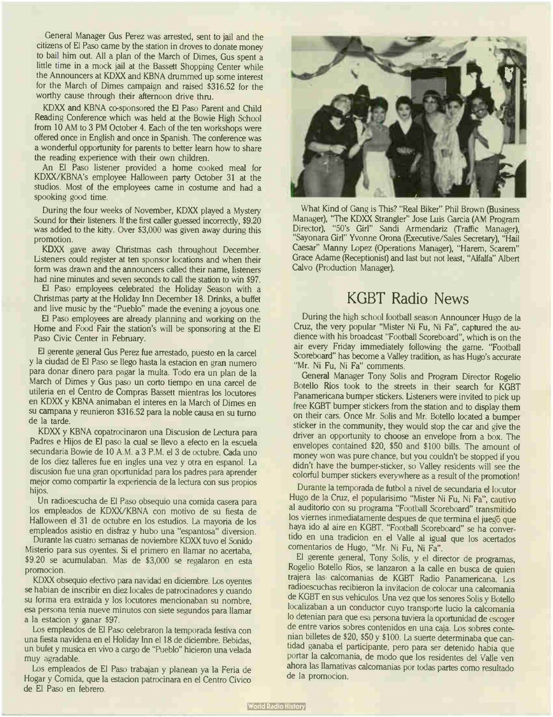General Manager Gus Perez was arrested, sent to jail and the citizens of El Paso came by the station in droves to donate money to bail him out. All a plan of the March of Dimes, Gus spent a little time in a mock jail at the Bassett Shopping Center while the Announcers at KDXX and KBNA drummed up some interest for the March of Dimes campaign and raised \$316.52 for the worthy cause through their afternoon drive thru.

KDXX and KBNA co-sponsored the El Paso Parent and Child Reading Conference which was held at the Bowie High School from 10 AM to 3 PM October 4. Each of the ten workshops were offered once in English and once in Spanish. The conference was a wonderful opportunity for parents to better learn how to share the reading experience with their own children.

An El Paso listener provided a home cooked meal for KDXX/KBNA's employee Halloween party October 31 at the studios. Most of the employees came in costume and had a spooking good time.

During the four weeks of November, KDXX played a Mystery Sound for their listeners. If the first caller guessed incorrectly, \$9.20 was added to the kitty. Over \$3,000 was given away during this promotion.

KDXX gave away Christmas cash throughout December. Listeners could register at ten sponsor locations and when their form was drawn and the announcers called their name, listeners had nine minutes and seven seconds to call the station to win \$97.

El Paso employees celebrated the Holiday Season with a Christmas party at the Holiday Inn December 18. Drinks, a buffet and live music by the "Pueblo" made the evening a joyous one.

El Paso employees are already planning and working on the Home and Food Fair the station's will be sponsoring at the El Paso Civic Center in February.

El gerente general Gus Perez fue arrestado, puesto en la carcel y la ciudad de El Paso se llego hasta la estacion en gran numero para donar dinero para pagar la multa. Todo era un plan de la March of Dimes y Gus paso un corto tiempo en una carcel de utileria en el Centro de Compras Bassett mientras los locutores en KDXX y KBNA animaban el interes en la March of Dimes en su campana y reunieron \$316.52 para la noble causa en su turno de la tarde.

KDXX y KBNA copatrocinaron una Discusion de Lectura para Padres e Hijos de El paso la cual se llevo a efecto en la escuela secundaria Bowie de 10 A.M. a 3 P.M. el 3 de octubre. Cada uno de los diez talleres fue en ingles una vez y otra en espanol. La discusion fue una gran oportunidad para los padres para aprender mejor como compartir la experiencia de la lectura con sus propios hijos.

Un radioescucha de El Paso obsequio una comida casera para los empleados de KDXX/KBNA con motivo de su fiesta de Halloween el 31 de octubre en los estudios. La mayoria de los empleados asistio en disfraz y hubo una "espantosa" diversion.

Durante las cuatro semanas de noviembre KDXX tuvo el Sonido Misterio para sus oyentes. Si el primero en llamar no acertaba, \$9.20 se acumulaban. Mas de \$3,000 se regalaron en esta promocion.

KDXX obsequio efectivo para navidad en diciembre. Los oyentes se habian de inscribir en diez locales de patrocinadores y cuando su forma era extraida y los locutores mencionaban su nombre, esa persona tenia nueve minutos con siete segundos para llamar a la estacion y ganar \$97.

Los empleados de El Paso celebraron la temporada festiva con una fiesta navidena en el Holiday Inn el 18 de diciembre. Bebidas, un bufet y musica en vivo a cargo de " Pueblo" hicieron una velada muy agradable.

Los empleados de El Paso trabajan y planean ya la Feria de Hogar y Comida, que la estacion patrocinara en el Centro Civico de El Paso en febrero.



What Kind of Gang is This? " Real Biker" Phil Brown (Business Manager), "The KDXX Strangler" Jose Luis Garcia (AM Program Director), ''50's Girl'' Sandi Armendariz (Traffic Manager), "Sayonara Girl" Yvonne Orona (Executive/Sales Secretary), " Hail Caesar" Manny Lopez (Operations Manager), " Harem, Scarem" Grace Adame (Receptionist) and last but not least, "Alfalfa" Albert Calvo (Production Manager).

# KGBT Radio News

During the high school football season Announcer Hugo de la Cruz, the very popular "Mister Ni Fu, Ni Fa", captured the audience with his broadcast "Football Scoreboard", which is on the air every Friday immediately following the game. "Football Scoreboard" has become a Valley tradition, as has Hugo's accurate "Mr. Ni Fu, Ni Fa" comments.

General Manager Tony Solis and Program Director Rogelio Botello Rios took to the streets in their search for KGBT Panamericana bumper stickers. Listeners were invited to pick up free KGBT bumper stickers from the station and to display them on their cars. Once Mr. Solis and Mr. Botello located a bumper sticker in the community, they would stop the car and give the driver an opportunity to choose an envelope from a box. The envelopes contained \$20, \$50 and \$100 bills. The amount of money won was pure chance, but you couldn't be stopped if you didn't have the bumper-sticker, so Valley residents will see the colorful bumper stickers everywhere as a result of the promotion!

Durante la temporada de futbol a nivel de secundaria el locutor Hugo de la Cruz, el popularisimo " Mister Ni Fu, Ni Fa", cautivo al auditorio con su programa "Football Scoreboard" transmitido los viernes inmediatamente despues de que termina el juego que haya ido al aire en KGBT. "Football Scoreboard" se ha convertido en una tradicion en el Valle al igual que los acertados comentarios de Hugo, "Mr. Ni Fu, Ni Fa".

El gerente general, Tony Solis, y el director de programas, Rogelio Botello Rios, se lanzaron a la calle en busca de quien trajera las calcomanias de KGBT Radio Panamericana. Los radioescuchas recibieron la invitacion de colocar una calcomania de KGBT en sus vehiculos. Una vez que los senores Solis y Botello localizaban a un conductor cuyo transporte lucio la calcomania lo detenian para que esa persona tuviera la oportunidad de escoger de entre varios sobres contenidos en una caja. Los sobres contenian billetes de \$20, \$50 y \$100. La suerte determinaba que cantidad ganaba el participante, pero para ser detenido habia que portar la calcomania, de modo que los residentes del Valle ven ahora las llamativas calcomanias por todas partes como resultado de la promocion.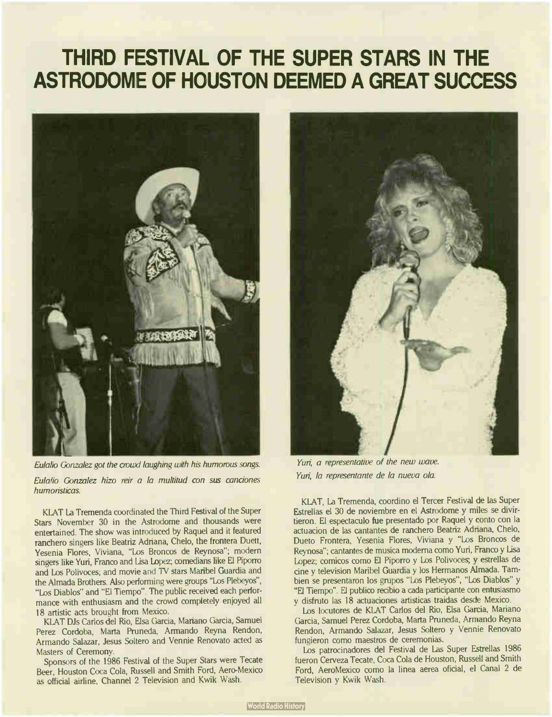# THIRD FESTIVAL OF THE SUPER STARS IN THE ASTRODOME OF HOUSTON DEEMED A GREAT SUCCESS



Eulalio Gonzalez got the crowd laughing with his humorous songs.

Eulalio Gonzalez hizo reir a la multitud con sus canciones humoristicas.

KLAT La Tremenda coordinated the Third Festival of the Super Stars November 30 in the Astrodome and thousands were entertained. The show was introduced by Raquel and it featured ranchero singers like Beatriz Adriana, Chelo, the frontera Duett, Yesenia Flores, Viviana, "Los Broncos de Reynosa"; modern singers like Yuri, Franco and Lisa Lopez; comedians like El Piporro and Los Polivoces; and movie and TV stars Maribel Guardia and the Almada Brothers. Also performing were groups "Los Plebeyos", "Los Diablos" and "El Tiempo". The public received each performance with enthusiasm and the crowd completely enjoyed all 18 artistic acts brought from Mexico.

KLAT DJs Carlos del Rio, Elsa Garcia, Mariano Garcia, Samuel Perez Cordoba, Marta Pruneda, Armando Reyna Rendon, Armando Salazar, Jesus Soltero and Vennie Renovato acted as Masters of Ceremony.

Sponsors of the 1986 Festival of the Super Stars were Tecate Beer, Houston Coca Cola, Russell and Smith Ford, Aero-Mexico as official airline, Channel 2 Television and Kwik Wash.



Yuri, a representative of the new wave. Yuri, la representante de la nueva ola.

KLAT, La Tremenda, coordino el Tercer Festival de las Super Estrellas el 30 de noviembre en el Astrodome y miles se divirtieron. El espectaculo fue presentado por Raquel y conto con la actuacion de las cantantes de ranchero Beatriz Adriana, Chelo, Dueto Frontera, Yesenia Flores, Viviana y "Los Broncos de Reynosa"; cantantes de musica moderna como Yuri, Franco y Lisa Lopez; comicos como El Piporro y Los Polivoceg y estrellas de cine y television Maribel Guardia y los Hermanos Almada. Tambien se presentaron los grupos "Los Plebeyos", "Los Diablos" y "El Tiempo". El publico recibio a cada participante con entusiasmo y disfruto las <sup>18</sup> actuaciones artisticas traidas desde Mexico.

Los locutores de KLAT Carlos del Rio, Elsa Garcia, Mariano Garcia, Samuel Perez Cordoba, Marta Pruneda, Armando Reyna Rendon, Armando Salazar, Jesus Soltero y Vennie Renovato fungieron como maestros de ceremonias.

Los patrocinadores del Festival de Las Super Estrellas 1986 fueron Cerveza Tecate, Coca Cola de Houston, Russell and Smith Ford, AeroMexico como la linea aerea oficial, el Canal 2 de Television y Kwik Wash.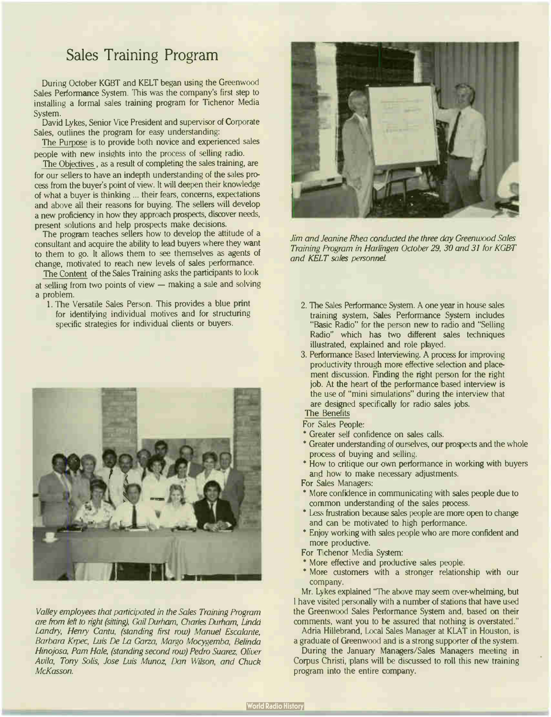### Sales Training Program

During October KGBT and KELT began using the Greenwood Sales Performance System. This was the company's first step to installing a formal sales training program for Tichenor Media System.

David Lykes, Senior Vice President and supervisor of Corporate Sales, outlines the program for easy understanding:

The Purpose is to provide both novice and experienced sales people with new insights into the process of selling radio.

The Objectives, as a result of completing the sales training, are for our sellers to have an indepth understanding of the sales process from the buyer's point of view. It will deepen their knowledge of what a buyer is thinking ... their fears, concerns, expectations and above all their reasons for buying. The sellers will develop a new proficiency in how they approach prospects, discover needs, present solutions and help prospects make decisions.

The program teaches sellers how to develop the attitude of a consultant and acquire the ability to lead buyers where they want to them to go. It allows them to see themselves as agents of change, motivated to reach new levels of sales performance.

The Content of the Sales Training asks the participants to look at selling from two points of view — making a sale and solving a problem.

1. The Versatile Sales Person. This provides a blue print for identifying individual motives and for structuring specific strategies for individual clients or buyers.



Valley employees that participated in the Sales Training Program are from left to right (sitting), Gail Durham, Charles Durham, Linda Landry, Henry Cantu, (standing first row) Manuel Escalante, Barbara Krpec, Luis De La Garza, Margo Mocygemba, Belinda Hinojosa, Pam Hale, (standing second row) Pedro Suarez, Oliver Avila, Tony Solis, Jose Luis Munoz, Dan Wilson, and Chuck McKasson.



Jim and Jeanine Rhea conducted the three day Greenwood Sales Training Program in Harlingen October 29, 30 and 31 for KGBT and KELT safes personnel.

- 2. The Sales Performance System. A one year in house sales training system, Sales Performance System includes "Basic Radio" for the person new to radio and "Selling Radio" which has two different sales techniques illustrated, explained and role played.
- 3. Performance Based Interviewing. A process for improving productivity through more effective selection and placement discussion. Finding the right person for the right job. At the heart of the performance based interview is the use of "mini simulations" during the interview that are designed specifically for radio sales jobs.

The Benefits

For Sales People:

- \* Greater self confidence on sales calls.
- \* Greater understanding of ourselves, our prospects and the whole process of buying and selling.
- \* How to critique our own performance in working with buyers and how to make necessary adjustments.

For Sales Managers:

- \* More confidence in communicating with sales people due to common understanding of the sales process.
- \* Less frustration because sales people are more open to change and can be motivated to high performance.
- \* Enjoy working with sales people who are more confident and more productive.

For Tichenor Media System:

- \* More effective and productive sales people.
- \* More customers with a stronger relationship with our company.

Mr. Lykes explained "The above may seem over-whelming, but I have visited personally with a number of stations that have used the Greenwood Sales Performance System and, based on their comments, want you to be assured that nothing is overstated."

Adria Hillebrand, Local Sales Manager at KLAT in Houston, is a graduate of Greenwood and is a strong supporter of the system.

During the January Managers/Sales Managers meeting in Corpus Christi, plans will be discussed to roll this new training program into the entire company.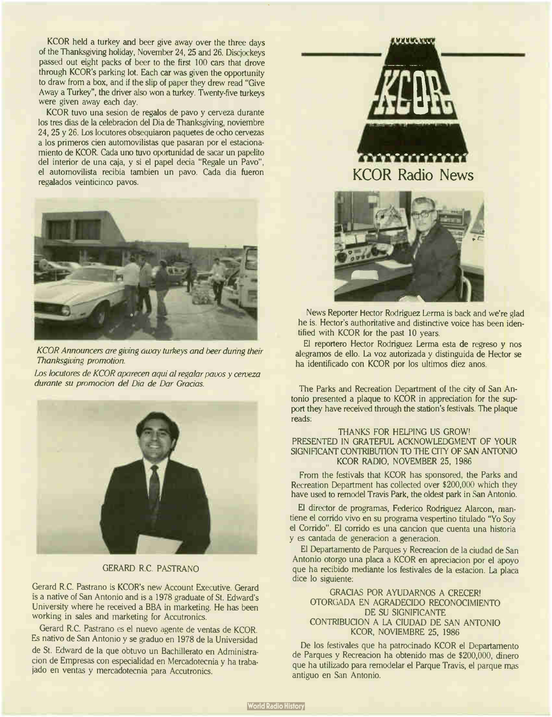KCOR held a turkey and beer give away over the three days of the Thanksgiving holiday, November 24, 25 and 26. Discjockeys passed out eight packs of beer to the first 100 cars that drove through KCOR's parking lot. Each car was given the opportunity to draw from a box, and if the slip of paper they drew read "Give Away a Turkey", the driver also won a turkey. Twenty-five turkeys were given away each day.

KCOR tuvo una sesion de regalos de pavo y cerveza durante los tres dias de la celebracion del Dia de Thanksgiving, noviembre 24, 25 y 26. Los locutores obsequiaron paquetes de ocho cervezas a los primeros cien automovilistas que pasaran por el estacionamiento de KCOR. Cada uno tuvo oportunidad de sacar un papelito del interior de una caja, y si el papel decia " Regale un Pavo", el automovilista recibia tambien un pavo. Cada dia fueron regalados veinticinco pavos.



KCOR Announcers are giving away turkeys and beer during their Thanksgiving promotion.

Los locutores de KCOR aparecen aqui al regalar pavos y cenveza durante su promocion del Dia de Dar Gracias.



### GERARD R.C. PASTRANO

Gerard R.C. Pastrano is KCOR's new Account Executive. Gerard is a native of San Antonio and is a 1978 graduate of St. Edward's University where he received a BBA in marketing. He has been working in sales and marketing for Accutronics.

Gerard R.C. Pastrano es el nuevo agente de yentas de KCOR. Es nativo de San Antonio y se graduo en 1978 de la Universidad de St. Edward de la que obtuvo un Bachillerato en Administracion de Empresas con especialidad en Mercadotecnia y ha trabajado en yentas y mercadotecnia para Accutronics.



News Reporter Hector Rodriguez Lerma is back and we're glad he is. Hector's authoritative and distinctive voice has been identified with KCOR for the past 10 years.

El reportero Hector Rodriguez Lerma esta de regreso y nos alegramos de ello. La voz autorizada y distinguida de Hector se ha identificado con KCOR por los ultimos diez anos.

The Parks and Recreation Department of the city of San Antonio presented a plaque to KCOR in appreciation for the support they have received through the station's festivals. The plaque reads:

#### THANKS FOR HELPING US GROW! PRESENTED IN GRATEFUL ACKNOWLEDGMENT OF YOUR SIGNIFICANT CONTRIBUTION TO THE CITY OF SAN ANTONIO KCOR RADIO, NOVEMBER 25, 1986

From the festivals that KCOR has sponsored, the Parks and Recreation Department has collected over \$200,000 which they have used to remodel Travis Park, the oldest park in San Antonio.

El director de programas, Federico Rodriguez Alarcon, mantiene el corrido vivo en su programa vespertino titulado "Yo Soy el Corrido". El corrido es una cancion que cuenta una historia y es cantada de generacion a generacion.

El Departamento de Parques y Recreacion de la ciudad de San Antonio otorgo una placa a KCOR en apreciacion por el apoyo que ha recibido mediante los festivales de la estacion. La placa dice lo siguiente:

#### GRACIAS POR AYUDARNOS A CRECER! OTORGADA EN AGRADECIDO RECONOCIMIENTO DE SU SIGNIFICANTE CONTRIBUCION A LA CIUDAD DE SAN ANTONIO KCOR, NOVIEMBRE 25, 1986

De los festivales que ha patrocinado KCOR el Departamento de Parques y Recreacion ha obtenido mas de \$200,000, dinero que ha utilizado para remodelar el Parque Travis, el parque mas antiguo en San Antonio.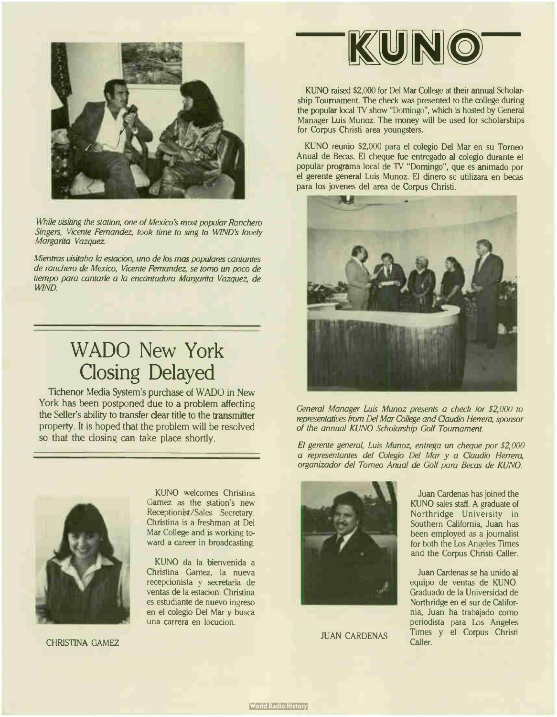

While visiting the station, one of Mexico's most popular Ranchero Singers, Vicente Fernandez, took time to sing to WIND'S lovely Margarita Vazquez.

Mientras visitaba la estacion, uno de los mas populares cantantes de ranchero de Mexico, Vicente Fernandez, se tomo un poco de tiempo para cantarle a la encantadora Margarita Vazquez, de WIND.

# WADO New York Closing Delayed

Tichenor Media System's purchase of WADO in New York has been postponed due to a problem affecting the Seller's ability to transfer dear title to the transmitter property. It is hoped that the problem will be resolved so that the closing can take place shortly.



CHRISTINA GAMEZ

KUNO welcomes Christina Gamez as the station's new Receptionist/Sales Secretary. Christina is a freshman at Del Mar College and is working toward a career in broadcasting.

KUNO da la bienvenida a Christina Gamez, la nueva recepcionista y secretaria de yentas de la estacion. Christina es estudiante de nuevo ingreso en el colegio Del Mar y busca una carrera en locucion.



**JUAN CARDENAS** 

KUNO

KUNO raised \$2,000 for Del Mar College at their annual Scholarship Tournament. The check was presented to the college during the popular local TV show "Domingo", which is hosted by General Manager Luis Munoz. The money will be used for scholarships for Corpus Christi area youngsters.

KUNO reunio \$2,000 para el colegio Del Mar en su Torneo Anual de Becas. El cheque fue entregado al colegio durante el popular programa local de TV " Domingo", que es animado por el gerente general Luis Munoz. El dinero se utilizara en becas para los jovenes del area de Corpus Christi.



General Manager Luis Munoz presents a check for \$2,000 to representatives from Del Mar College and Claudio Herrera, sponsor of the annual KUNO Scholarship Golf Tournament.

El gerente general, Luis Munoz, entrega un cheque por \$2,000 a representantes del Colegio Del Mar y a Claudio Herrera, organizador del Torneo Anual de Golf para Becas de KUNO.



Juan Cardenas se ha unido al equipo de yentas de KUNO. Graduado de la Universidad de Northridge en el sur de California, Juan ha trabajado como periodista para Los Angeles Times y el Corpus Christi Caller.